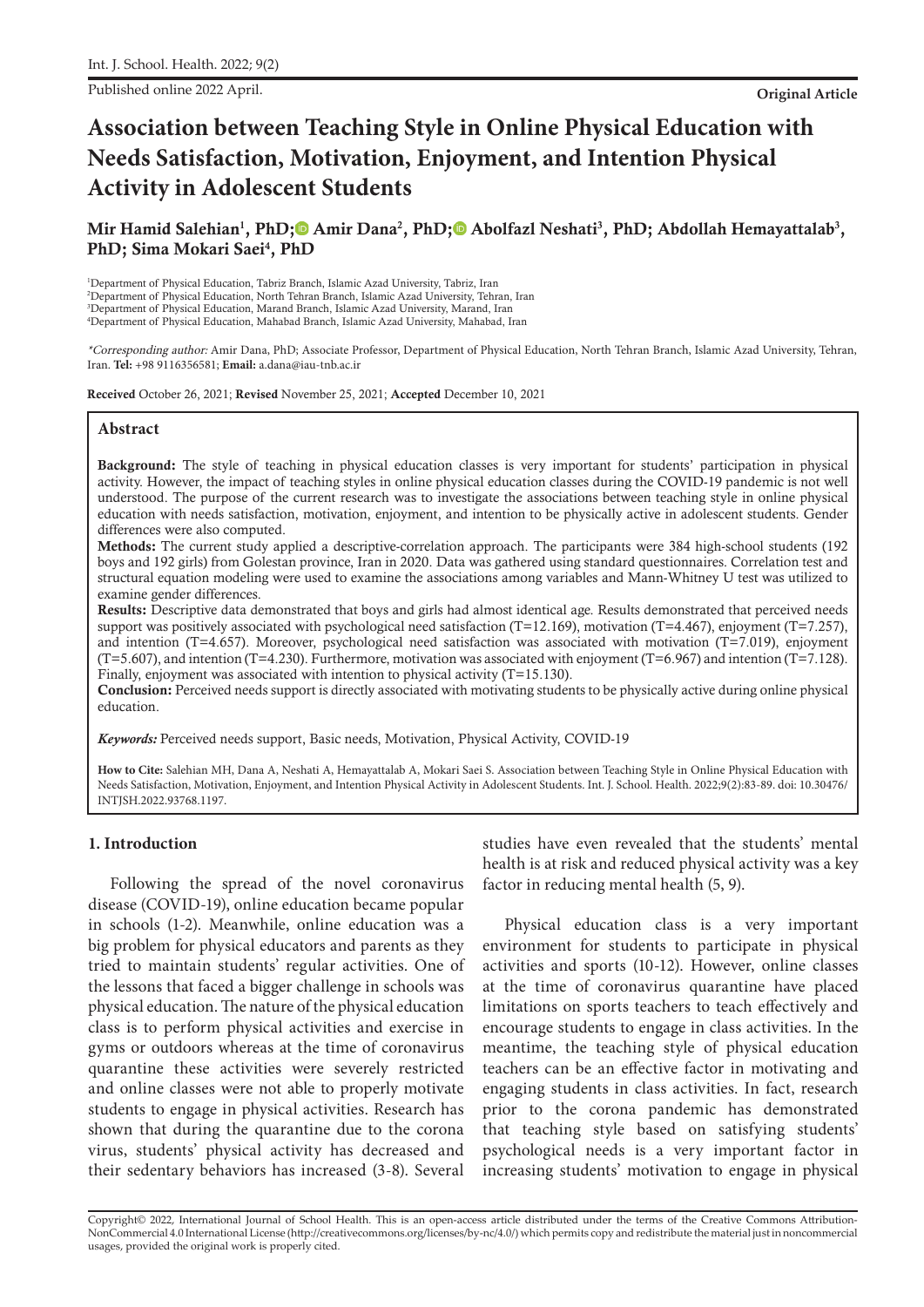Published online 2022 April. **Original Article**

# **Association between Teaching Style in Online Physical Education with Needs Satisfaction, Motivation, Enjoyment, and Intention Physical Activity in Adolescent Students**

## Mir Hamid Salehian<sup>1</sup>, PhD;© Amir Dana<sup>2</sup>, PhD;© Abolfazl Neshati<sup>3</sup>, PhD[;](https://orcid.org/0000-0002-3482-7052) Abdollah Hemayattalab<sup>3</sup>, PhD; Sima Mokari Saei<sup>4</sup>, PhD

 Department of Physical Education, Tabriz Branch, Islamic Azad University, Tabriz, Iran Department of Physical Education, North Tehran Branch, Islamic Azad University, Tehran, Iran Department of Physical Education, Marand Branch, Islamic Azad University, Marand, Iran Department of Physical Education, Mahabad Branch, Islamic Azad University, Mahabad, Iran

\*Corresponding author: Amir Dana, PhD; Associate Professor, Department of Physical Education, North Tehran Branch, Islamic Azad University, Tehran, Iran. **Tel:** +98 9116356581; **Email:** a.dana@iau-tnb.ac.ir

Received October 26, 2021; Revised November 25, 2021; Accepted December 10, 2021

#### **Abstract**

Background: The style of teaching in physical education classes is very important for students' participation in physical activity. However, the impact of teaching styles in online physical education classes during the COVID-19 pandemic is not well understood. The purpose of the current research was to investigate the associations between teaching style in online physical education with needs satisfaction, motivation, enjoyment, and intention to be physically active in adolescent students. Gender differences were also computed.

Methods: The current study applied a descriptive-correlation approach. The participants were 384 high-school students (192 boys and 192 girls) from Golestan province, Iran in 2020. Data was gathered using standard questionnaires. Correlation test and structural equation modeling were used to examine the associations among variables and Mann-Whitney U test was utilized to examine gender differences.

Results: Descriptive data demonstrated that boys and girls had almost identical age. Results demonstrated that perceived needs support was positively associated with psychological need satisfaction (T=12.169), motivation (T=4.467), enjoyment (T=7.257), and intention (T=4.657). Moreover, psychological need satisfaction was associated with motivation (T=7.019), enjoyment  $(T=5.607)$ , and intention  $(T=4.230)$ . Furthermore, motivation was associated with enjoyment  $(T=6.967)$  and intention  $(T=7.128)$ . Finally, enjoyment was associated with intention to physical activity (T=15.130).

Conclusion: Perceived needs support is directly associated with motivating students to be physically active during online physical education.

*Keywords:* Perceived needs support, Basic needs, Motivation, Physical Activity, COVID-19

**How to Cite:** Salehian MH, Dana A, Neshati A, Hemayattalab A, Mokari Saei S. Association between Teaching Style in Online Physical Education with Needs Satisfaction, Motivation, Enjoyment, and Intention Physical Activity in Adolescent Students. Int. J. School. Health. 2022;9(2):83-89. doi: 10.30476/ INTJSH.2022.93768.1197.

#### **1. Introduction**

Following the spread of the novel coronavirus disease (COVID-19), online education became popular in schools (1-2). Meanwhile, online education was a big problem for physical educators and parents as they tried to maintain students' regular activities. One of the lessons that faced a bigger challenge in schools was physical education. The nature of the physical education class is to perform physical activities and exercise in gyms or outdoors whereas at the time of coronavirus quarantine these activities were severely restricted and online classes were not able to properly motivate students to engage in physical activities. Research has shown that during the quarantine due to the corona virus, students' physical activity has decreased and their sedentary behaviors has increased (3-8). Several studies have even revealed that the students' mental health is at risk and reduced physical activity was a key factor in reducing mental health (5, 9).

Physical education class is a very important environment for students to participate in physical activities and sports (10-12). However, online classes at the time of coronavirus quarantine have placed limitations on sports teachers to teach effectively and encourage students to engage in class activities. In the meantime, the teaching style of physical education teachers can be an effective factor in motivating and engaging students in class activities. In fact, research prior to the corona pandemic has demonstrated that teaching style based on satisfying students' psychological needs is a very important factor in increasing students' motivation to engage in physical

Copyright© 2022, International Journal of School Health. This is an open-access article distributed under the terms of the Creative Commons Attribution-NonCommercial 4.0 International License (http://creativecommons.org/licenses/by-nc/4.0/) which permits copy and redistribute the material just in noncommercial usages, provided the original work is properly cited.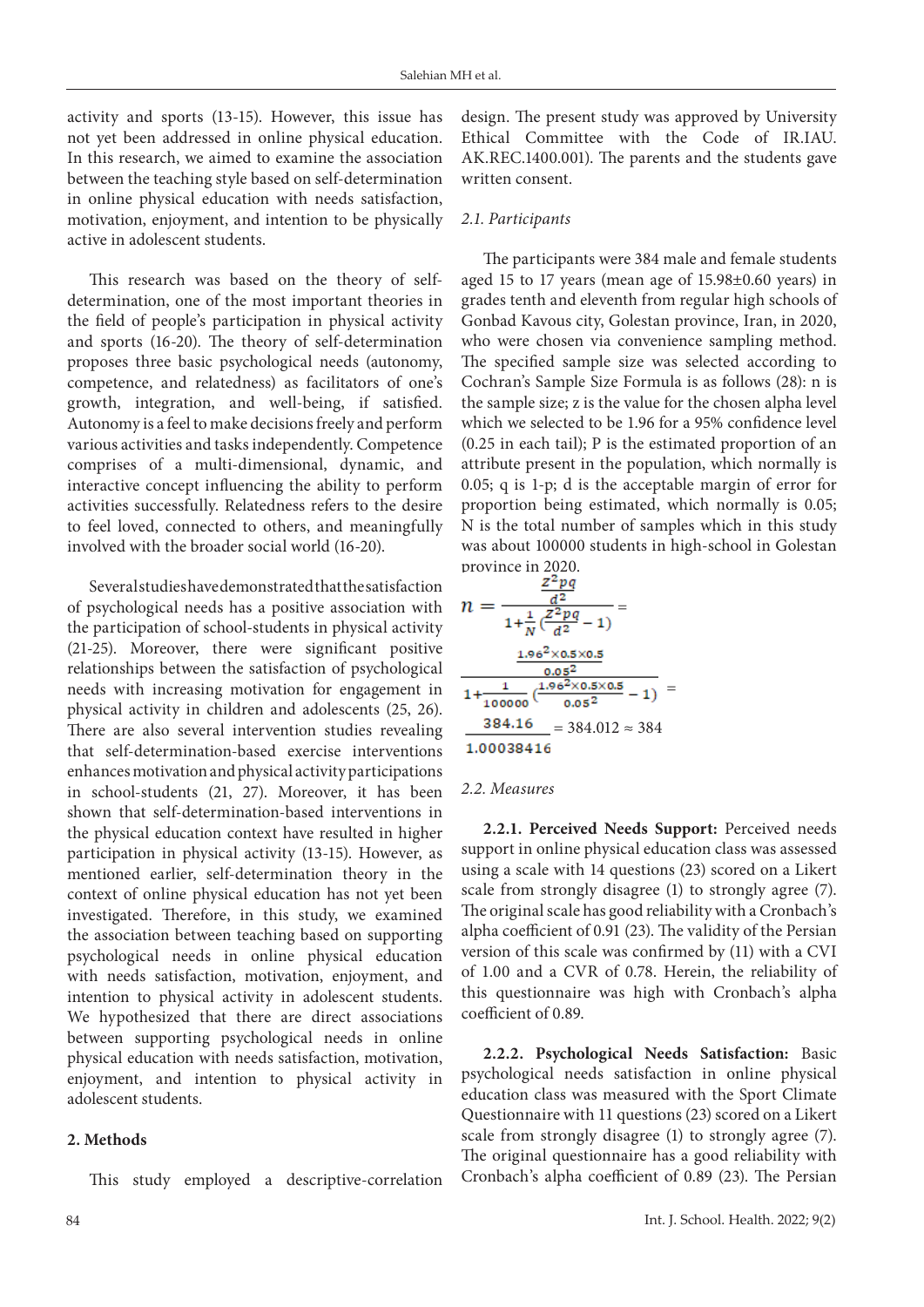activity and sports (13-15). However, this issue has not yet been addressed in online physical education. In this research, we aimed to examine the association between the teaching style based on self-determination in online physical education with needs satisfaction, motivation, enjoyment, and intention to be physically active in adolescent students.

This research was based on the theory of selfdetermination, one of the most important theories in the field of people's participation in physical activity and sports (16-20). The theory of self-determination proposes three basic psychological needs (autonomy, competence, and relatedness) as facilitators of one's growth, integration, and well-being, if satisfied. Autonomy is a feel to make decisions freely and perform various activities and tasks independently. Competence comprises of a multi-dimensional, dynamic, and interactive concept influencing the ability to perform activities successfully. Relatedness refers to the desire to feel loved, connected to others, and meaningfully involved with the broader social world (16-20).

Several studies have demonstrated that the satisfaction of psychological needs has a positive association with the participation of school-students in physical activity (21-25). Moreover, there were significant positive relationships between the satisfaction of psychological needs with increasing motivation for engagement in physical activity in children and adolescents (25, 26). There are also several intervention studies revealing that self-determination-based exercise interventions enhances motivation and physical activity participations in school-students (21, 27). Moreover, it has been shown that self-determination-based interventions in the physical education context have resulted in higher participation in physical activity (13-15). However, as mentioned earlier, self-determination theory in the context of online physical education has not yet been investigated. Therefore, in this study, we examined the association between teaching based on supporting psychological needs in online physical education with needs satisfaction, motivation, enjoyment, and intention to physical activity in adolescent students. We hypothesized that there are direct associations between supporting psychological needs in online physical education with needs satisfaction, motivation, enjoyment, and intention to physical activity in adolescent students.

#### **2. Methods**

This study employed a descriptive-correlation

design. The present study was approved by University Ethical Committee with the Code of IR.IAU. AK.REC.1400.001). The parents and the students gave written consent.

#### *2.1. Participants*

The participants were 384 male and female students aged 15 to 17 years (mean age of 15.98±0.60 years) in grades tenth and eleventh from regular high schools of Gonbad Kavous city, Golestan province, Iran, in 2020, who were chosen via convenience sampling method. The specified sample size was selected according to Cochran's Sample Size Formula is as follows (28): n is the sample size; z is the value for the chosen alpha level which we selected to be 1.96 for a 95% confidence level (0.25 in each tail); P is the estimated proportion of an attribute present in the population, which normally is 0.05; q is 1-p; d is the acceptable margin of error for proportion being estimated, which normally is 0.05; N is the total number of samples which in this study was about 100000 students in high-school in Golestan province in 2020.

$$
n = \frac{\frac{z^2 pq}{d^2}}{1 + \frac{1}{N}(\frac{z^2 pq}{d^2} - 1)} =
$$
  

$$
\frac{\frac{1.96^2 \times 0.5 \times 0.5}{0.05^2}}{1 + \frac{1}{100000}(\frac{1.96^2 \times 0.5 \times 0.5}{0.05^2} - 1)} =
$$
  

$$
\frac{384.16}{1.00038416} = 384.012 \approx 384
$$

#### *2.2. Measures*

**2.2.1. Perceived Needs Support:** Perceived needs support in online physical education class was assessed using a scale with 14 questions (23) scored on a Likert scale from strongly disagree (1) to strongly agree (7). The original scale has good reliability with a Cronbach's alpha coefficient of 0.91 (23). The validity of the Persian version of this scale was confirmed by (11) with a CVI of 1.00 and a CVR of 0.78. Herein, the reliability of this questionnaire was high with Cronbach's alpha coefficient of 0.89.

**2.2.2. Psychological Needs Satisfaction:** Basic psychological needs satisfaction in online physical education class was measured with the Sport Climate Questionnaire with 11 questions (23) scored on a Likert scale from strongly disagree (1) to strongly agree (7). The original questionnaire has a good reliability with Cronbach's alpha coefficient of 0.89 (23). The Persian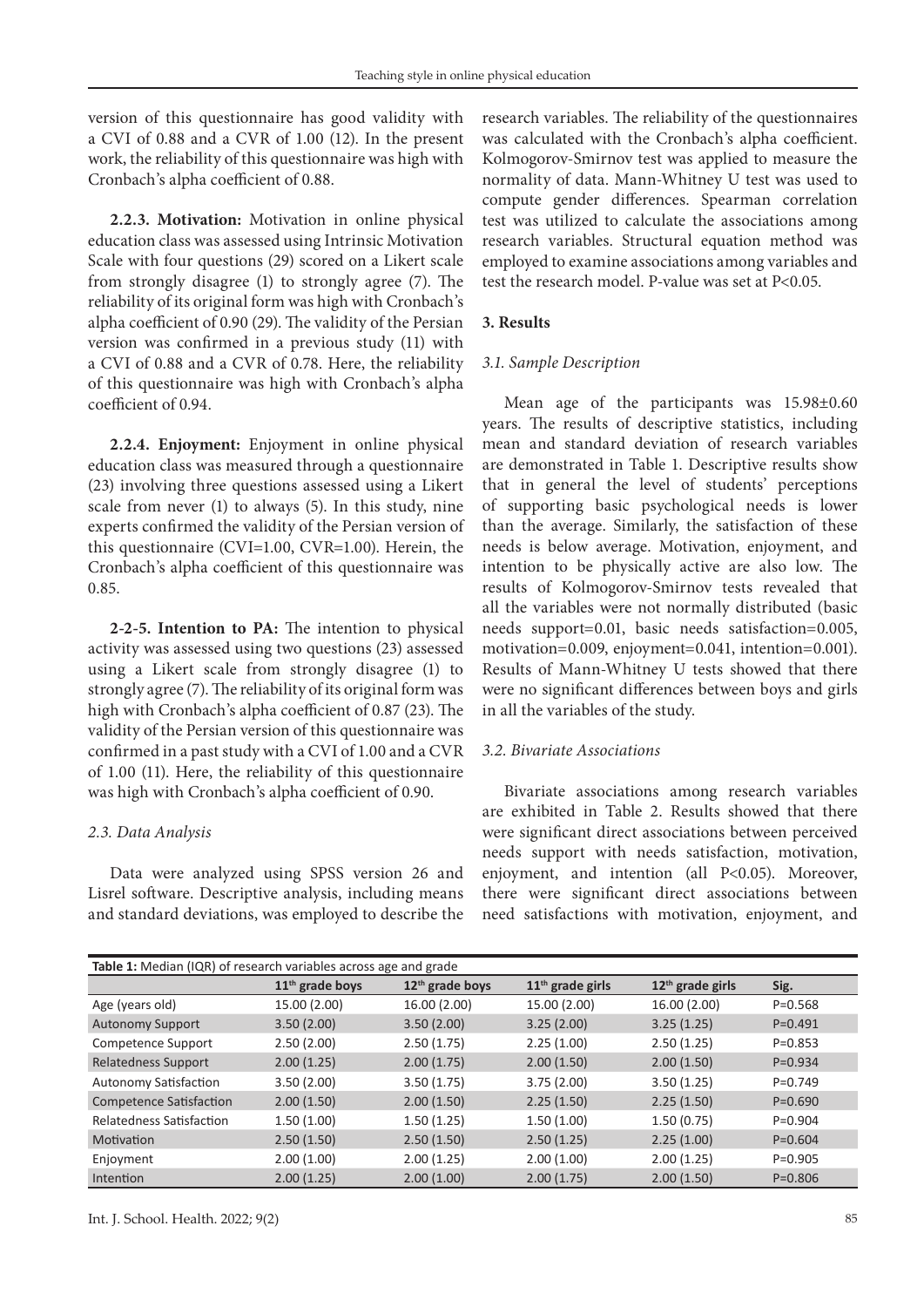version of this questionnaire has good validity with a CVI of 0.88 and a CVR of 1.00 (12). In the present work, the reliability of this questionnaire was high with Cronbach's alpha coefficient of 0.88.

**2.2.3. Motivation:** Motivation in online physical education class was assessed using Intrinsic Motivation Scale with four questions (29) scored on a Likert scale from strongly disagree (1) to strongly agree (7). The reliability of its original form was high with Cronbach's alpha coefficient of 0.90 (29). The validity of the Persian version was confirmed in a previous study (11) with a CVI of 0.88 and a CVR of 0.78. Here, the reliability of this questionnaire was high with Cronbach's alpha coefficient of 0.94.

**2.2.4. Enjoyment:** Enjoyment in online physical education class was measured through a questionnaire (23) involving three questions assessed using a Likert scale from never (1) to always (5). In this study, nine experts confirmed the validity of the Persian version of this questionnaire (CVI=1.00, CVR=1.00). Herein, the Cronbach's alpha coefficient of this questionnaire was 0.85.

**2-2-5. Intention to PA:** The intention to physical activity was assessed using two questions (23) assessed using a Likert scale from strongly disagree (1) to strongly agree (7). The reliability of its original form was high with Cronbach's alpha coefficient of 0.87 (23). The validity of the Persian version of this questionnaire was confirmed in a past study with a CVI of 1.00 and a CVR of 1.00 (11). Here, the reliability of this questionnaire was high with Cronbach's alpha coefficient of 0.90.

#### *2.3. Data Analysis*

Data were analyzed using SPSS version 26 and Lisrel software. Descriptive analysis, including means and standard deviations, was employed to describe the research variables. The reliability of the questionnaires was calculated with the Cronbach's alpha coefficient. Kolmogorov-Smirnov test was applied to measure the normality of data. Mann-Whitney U test was used to compute gender differences. Spearman correlation test was utilized to calculate the associations among research variables. Structural equation method was employed to examine associations among variables and test the research model. P-value was set at P<0.05.

## **3. Results**

#### *3.1. Sample Description*

Mean age of the participants was 15.98±0.60 years. The results of descriptive statistics, including mean and standard deviation of research variables are demonstrated in Table 1. Descriptive results show that in general the level of students' perceptions of supporting basic psychological needs is lower than the average. Similarly, the satisfaction of these needs is below average. Motivation, enjoyment, and intention to be physically active are also low. The results of Kolmogorov-Smirnov tests revealed that all the variables were not normally distributed (basic needs support=0.01, basic needs satisfaction=0.005, motivation=0.009, enjoyment=0.041, intention=0.001). Results of Mann-Whitney U tests showed that there were no significant differences between boys and girls in all the variables of the study.

#### *3.2. Bivariate Associations*

Bivariate associations among research variables are exhibited in Table 2. Results showed that there were significant direct associations between perceived needs support with needs satisfaction, motivation, enjoyment, and intention (all P<0.05). Moreover, there were significant direct associations between need satisfactions with motivation, enjoyment, and

| Table 1: Median (IQR) of research variables across age and grade |                             |                             |                    |                              |             |  |
|------------------------------------------------------------------|-----------------------------|-----------------------------|--------------------|------------------------------|-------------|--|
|                                                                  | 11 <sup>th</sup> grade boys | 12 <sup>th</sup> grade boys | $11th$ grade girls | 12 <sup>th</sup> grade girls | Sig.        |  |
| Age (years old)                                                  | 15.00 (2.00)                | 16.00 (2.00)                | 15.00 (2.00)       | 16.00 (2.00)                 | $P = 0.568$ |  |
| <b>Autonomy Support</b>                                          | 3.50(2.00)                  | 3.50(2.00)                  | 3.25(2.00)         | 3.25(1.25)                   | $P=0.491$   |  |
| Competence Support                                               | 2.50(2.00)                  | 2.50(1.75)                  | 2.25(1.00)         | 2.50(1.25)                   | $P = 0.853$ |  |
| <b>Relatedness Support</b>                                       | 2.00(1.25)                  | 2.00(1.75)                  | 2.00(1.50)         | 2.00(1.50)                   | $P = 0.934$ |  |
| <b>Autonomy Satisfaction</b>                                     | 3.50(2.00)                  | 3.50(1.75)                  | 3.75(2.00)         | 3.50(1.25)                   | $P = 0.749$ |  |
| <b>Competence Satisfaction</b>                                   | 2.00(1.50)                  | 2.00(1.50)                  | 2.25(1.50)         | 2.25(1.50)                   | $P = 0.690$ |  |
| Relatedness Satisfaction                                         | 1.50(1.00)                  | 1.50(1.25)                  | 1.50(1.00)         | 1.50(0.75)                   | $P = 0.904$ |  |
| Motivation                                                       | 2.50(1.50)                  | 2.50(1.50)                  | 2.50(1.25)         | 2.25(1.00)                   | $P = 0.604$ |  |
| Enjoyment                                                        | 2.00(1.00)                  | 2.00(1.25)                  | 2.00(1.00)         | 2.00(1.25)                   | $P=0.905$   |  |
| Intention                                                        | 2.00(1.25)                  | 2.00(1.00)                  | 2.00(1.75)         | 2.00(1.50)                   | $P = 0.806$ |  |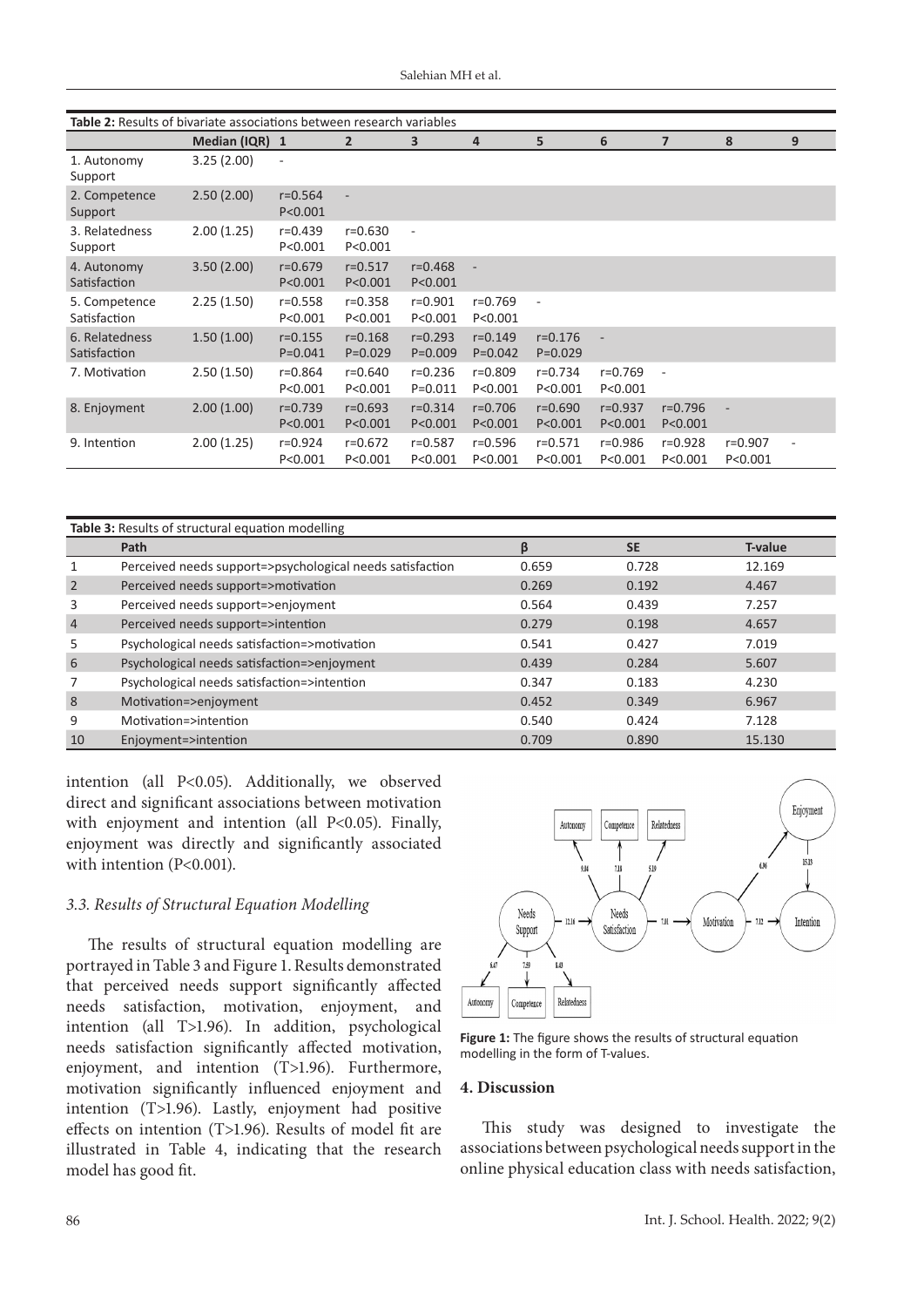| Table 2: Results of bivariate associations between research variables |                |                            |                            |                            |                            |                            |                          |                          |                      |   |
|-----------------------------------------------------------------------|----------------|----------------------------|----------------------------|----------------------------|----------------------------|----------------------------|--------------------------|--------------------------|----------------------|---|
|                                                                       | Median (IQR) 1 |                            | $\overline{2}$             | 3                          | 4                          | 5                          | 6                        | $\overline{7}$           | 8                    | 9 |
| 1. Autonomy<br>Support                                                | 3.25(2.00)     | $\overline{\phantom{m}}$   |                            |                            |                            |                            |                          |                          |                      |   |
| 2. Competence<br>Support                                              | 2.50(2.00)     | $r = 0.564$<br>P < 0.001   | ٠                          |                            |                            |                            |                          |                          |                      |   |
| 3. Relatedness<br>Support                                             | 2.00(1.25)     | $r = 0.439$<br>P < 0.001   | $r = 0.630$<br>P < 0.001   | ÷,                         |                            |                            |                          |                          |                      |   |
| 4. Autonomy<br>Satisfaction                                           | 3.50(2.00)     | $r = 0.679$<br>P < 0.001   | $r = 0.517$<br>P < 0.001   | $r = 0.468$<br>P < 0.001   |                            |                            |                          |                          |                      |   |
| 5. Competence<br>Satisfaction                                         | 2.25(1.50)     | $r = 0.558$<br>P < 0.001   | $r = 0.358$<br>P < 0.001   | $r = 0.901$<br>P < 0.001   | $r = 0.769$<br>P < 0.001   | $\overline{\phantom{a}}$   |                          |                          |                      |   |
| 6. Relatedness<br>Satisfaction                                        | 1.50(1.00)     | $r = 0.155$<br>$P = 0.041$ | $r = 0.168$<br>$P = 0.029$ | $r = 0.293$<br>$P = 0.009$ | $r = 0.149$<br>$P = 0.042$ | $r = 0.176$<br>$P = 0.029$ |                          |                          |                      |   |
| 7. Motivation                                                         | 2.50(1.50)     | $r = 0.864$<br>P<0.001     | $r = 0.640$<br>P < 0.001   | $r = 0.236$<br>$P = 0.011$ | $r = 0.809$<br>P < 0.001   | $r = 0.734$<br>P<0.001     | $r = 0.769$<br>P < 0.001 |                          |                      |   |
| 8. Enjoyment                                                          | 2.00(1.00)     | $r = 0.739$<br>P < 0.001   | $r = 0.693$<br>P < 0.001   | $r = 0.314$<br>P < 0.001   | $r = 0.706$<br>P < 0.001   | $r = 0.690$<br>P < 0.001   | $r = 0.937$<br>P < 0.001 | $r = 0.796$<br>P < 0.001 | $\bar{a}$            |   |
| 9. Intention                                                          | 2.00(1.25)     | r=0.924<br>P < 0.001       | $r = 0.672$<br>P < 0.001   | $r = 0.587$<br>P < 0.001   | $r = 0.596$<br>P < 0.001   | $r = 0.571$<br>P < 0.001   | r=0.986<br>P < 0.001     | $r = 0.928$<br>P < 0.001 | r=0.907<br>P < 0.001 |   |

| Table 3: Results of structural equation modelling |                                                           |       |           |                |  |
|---------------------------------------------------|-----------------------------------------------------------|-------|-----------|----------------|--|
|                                                   | Path                                                      | ß     | <b>SE</b> | <b>T-value</b> |  |
| 1                                                 | Perceived needs support=>psychological needs satisfaction | 0.659 | 0.728     | 12.169         |  |
| 2                                                 | Perceived needs support=>motivation                       | 0.269 | 0.192     | 4.467          |  |
| 3                                                 | Perceived needs support=>enjoyment                        | 0.564 | 0.439     | 7.257          |  |
| $\overline{4}$                                    | Perceived needs support=>intention                        | 0.279 | 0.198     | 4.657          |  |
| 5                                                 | Psychological needs satisfaction=>motivation              | 0.541 | 0.427     | 7.019          |  |
| 6                                                 | Psychological needs satisfaction=>enjoyment               | 0.439 | 0.284     | 5.607          |  |
| 7                                                 | Psychological needs satisfaction=>intention               | 0.347 | 0.183     | 4.230          |  |
| 8                                                 | Motivation=>enjoyment                                     | 0.452 | 0.349     | 6.967          |  |
| 9                                                 | Motivation=>intention                                     | 0.540 | 0.424     | 7.128          |  |
| 10                                                | Enjoyment=>intention                                      | 0.709 | 0.890     | 15.130         |  |

intention (all P<0.05). Additionally, we observed direct and significant associations between motivation with enjoyment and intention (all P<0.05). Finally, enjoyment was directly and significantly associated with intention (P<0.001).

#### *3.3. Results of Structural Equation Modelling*

The results of structural equation modelling are portrayed in Table 3 and Figure 1. Results demonstrated that perceived needs support significantly affected needs satisfaction, motivation, enjoyment, and intention (all T>1.96). In addition, psychological needs satisfaction significantly affected motivation, enjoyment, and intention (T>1.96). Furthermore, motivation significantly influenced enjoyment and intention (T>1.96). Lastly, enjoyment had positive effects on intention (T>1.96). Results of model fit are illustrated in Table 4, indicating that the research model has good fit.



**Figure 1:** The figure shows the results of structural equation modelling in the form of T-values.

#### **4. Discussion**

This study was designed to investigate the associations between psychological needs support in the online physical education class with needs satisfaction,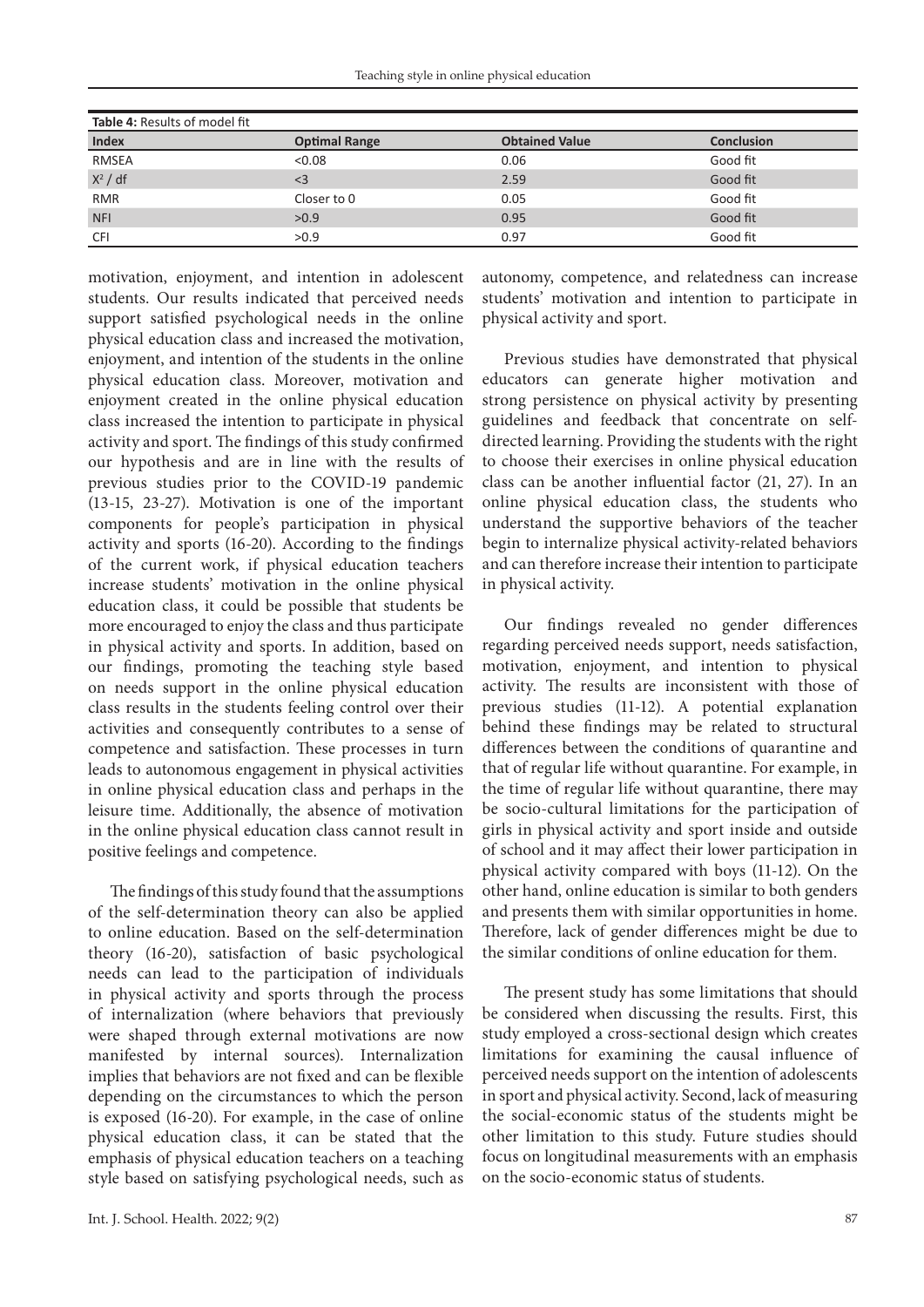| Table 4: Results of model fit |                      |                       |                   |  |  |
|-------------------------------|----------------------|-----------------------|-------------------|--|--|
| <b>Index</b>                  | <b>Optimal Range</b> | <b>Obtained Value</b> | <b>Conclusion</b> |  |  |
| <b>RMSEA</b>                  | < 0.08               | 0.06                  | Good fit          |  |  |
| $X^2$ / df                    | $\leq$ 3             | 2.59                  | Good fit          |  |  |
| <b>RMR</b>                    | Closer to 0          | 0.05                  | Good fit          |  |  |
| <b>NFI</b>                    | >0.9                 | 0.95                  | Good fit          |  |  |
| <b>CFI</b>                    | >0.9                 | 0.97                  | Good fit          |  |  |

motivation, enjoyment, and intention in adolescent students. Our results indicated that perceived needs support satisfied psychological needs in the online physical education class and increased the motivation, enjoyment, and intention of the students in the online physical education class. Moreover, motivation and enjoyment created in the online physical education class increased the intention to participate in physical activity and sport. The findings of this study confirmed our hypothesis and are in line with the results of previous studies prior to the COVID-19 pandemic (13-15, 23-27). Motivation is one of the important components for people's participation in physical activity and sports (16-20). According to the findings of the current work, if physical education teachers increase students' motivation in the online physical education class, it could be possible that students be more encouraged to enjoy the class and thus participate in physical activity and sports. In addition, based on our findings, promoting the teaching style based on needs support in the online physical education class results in the students feeling control over their activities and consequently contributes to a sense of competence and satisfaction. These processes in turn leads to autonomous engagement in physical activities in online physical education class and perhaps in the leisure time. Additionally, the absence of motivation in the online physical education class cannot result in positive feelings and competence.

The findings of this study found that the assumptions of the self-determination theory can also be applied to online education. Based on the self-determination theory (16-20), satisfaction of basic psychological needs can lead to the participation of individuals in physical activity and sports through the process of internalization (where behaviors that previously were shaped through external motivations are now manifested by internal sources). Internalization implies that behaviors are not fixed and can be flexible depending on the circumstances to which the person is exposed (16-20). For example, in the case of online physical education class, it can be stated that the emphasis of physical education teachers on a teaching style based on satisfying psychological needs, such as autonomy, competence, and relatedness can increase students' motivation and intention to participate in physical activity and sport.

Previous studies have demonstrated that physical educators can generate higher motivation and strong persistence on physical activity by presenting guidelines and feedback that concentrate on selfdirected learning. Providing the students with the right to choose their exercises in online physical education class can be another influential factor (21, 27). In an online physical education class, the students who understand the supportive behaviors of the teacher begin to internalize physical activity-related behaviors and can therefore increase their intention to participate in physical activity.

Our findings revealed no gender differences regarding perceived needs support, needs satisfaction, motivation, enjoyment, and intention to physical activity. The results are inconsistent with those of previous studies (11-12). A potential explanation behind these findings may be related to structural differences between the conditions of quarantine and that of regular life without quarantine. For example, in the time of regular life without quarantine, there may be socio-cultural limitations for the participation of girls in physical activity and sport inside and outside of school and it may affect their lower participation in physical activity compared with boys (11-12). On the other hand, online education is similar to both genders and presents them with similar opportunities in home. Therefore, lack of gender differences might be due to the similar conditions of online education for them.

The present study has some limitations that should be considered when discussing the results. First, this study employed a cross-sectional design which creates limitations for examining the causal influence of perceived needs support on the intention of adolescents in sport and physical activity. Second, lack of measuring the social-economic status of the students might be other limitation to this study. Future studies should focus on longitudinal measurements with an emphasis on the socio-economic status of students.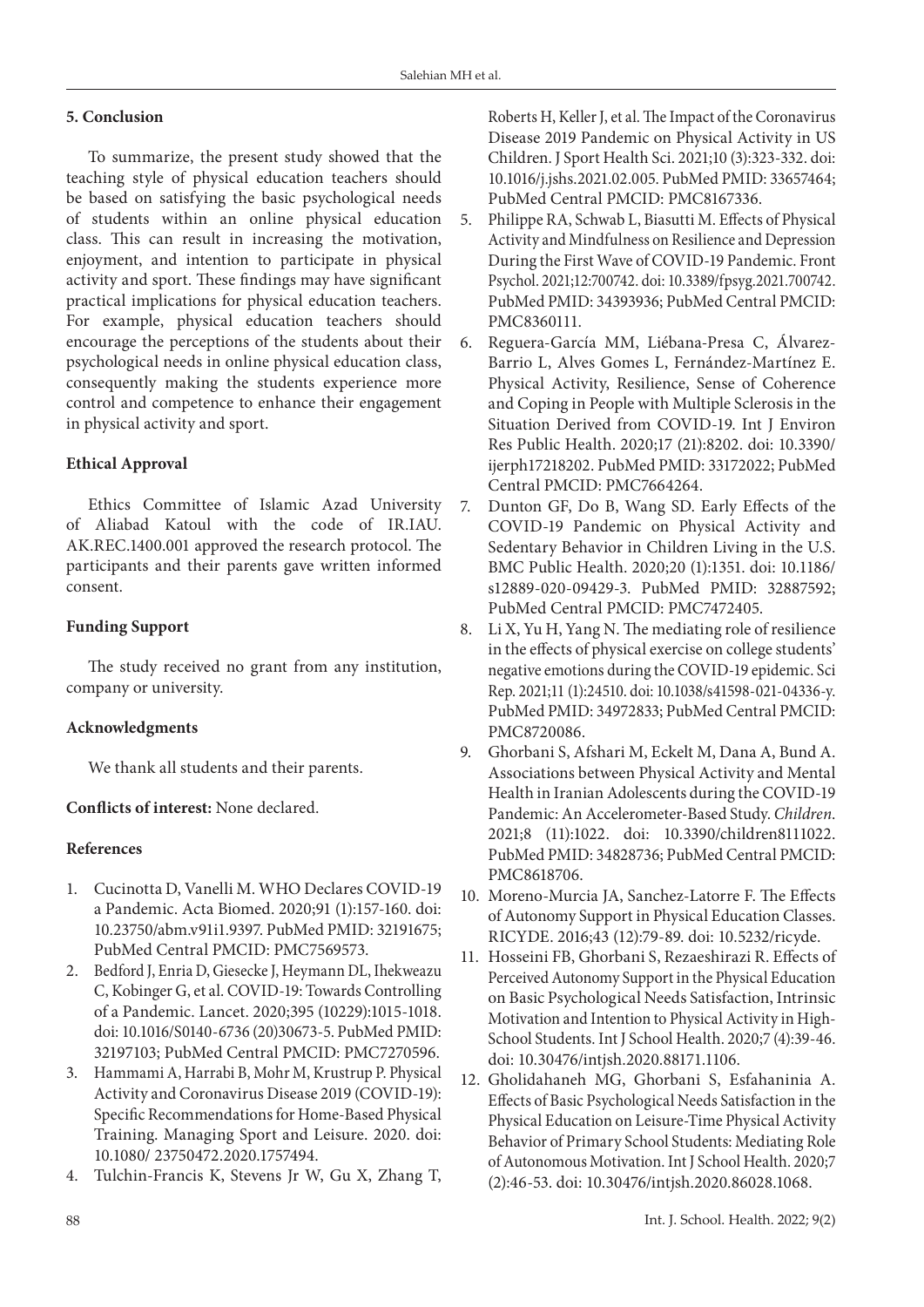## **5. Conclusion**

To summarize, the present study showed that the teaching style of physical education teachers should be based on satisfying the basic psychological needs of students within an online physical education class. This can result in increasing the motivation, enjoyment, and intention to participate in physical activity and sport. These findings may have significant practical implications for physical education teachers. For example, physical education teachers should encourage the perceptions of the students about their psychological needs in online physical education class, consequently making the students experience more control and competence to enhance their engagement in physical activity and sport.

## **Ethical Approval**

Ethics Committee of Islamic Azad University of Aliabad Katoul with the code of IR.IAU. AK.REC.1400.001 approved the research protocol. The participants and their parents gave written informed consent.

## **Funding Support**

The study received no grant from any institution, company or university.

#### **Acknowledgments**

We thank all students and their parents.

## **Conflicts of interest:** None declared.

#### **References**

- 1. Cucinotta D, Vanelli M. WHO Declares COVID-19 a Pandemic. Acta Biomed. 2020;91 (1):157-160. doi: [10.23750/abm.v91i1.9397](http://dx.doi.org/10.23750/abm.v91i1.9397). PubMed PMID: 32191675; PubMed Central PMCID: PMC7569573.
- 2. Bedford J, Enria D, Giesecke J, Heymann DL, Ihekweazu C, Kobinger G, et al. COVID-19: Towards Controlling of a Pandemic. Lancet. 2020;395 (10229):1015-1018. doi: 10.1016/S0140-6736 (20)30673-5. PubMed PMID: 32197103; PubMed Central PMCID: PMC7270596.
- 3. Hammami A, Harrabi B, Mohr M, Krustrup P. Physical Activity and Coronavirus Disease 2019 (COVID-19): Specific Recommendations for Home-Based Physical Training. Managing Sport and Leisure. 2020. doi: 10.1080/ 23750472.2020.1757494.
- 4. Tulchin-Francis K, Stevens Jr W, Gu X, Zhang T,

Roberts H, Keller J, et al. The Impact of the Coronavirus Disease 2019 Pandemic on Physical Activity in US Children. J Sport Health Sci. 2021;10 (3):323-332. doi: [10.1016/j.jshs.2021.02.005](https://doi.org/10.1016/j.jshs.2021.02.005). PubMed PMID: 33657464; PubMed Central PMCID: PMC8167336.

- 5. Philippe RA, Schwab L, Biasutti M. Effects of Physical Activity and Mindfulness on Resilience and Depression During the First Wave of COVID-19 Pandemic. Front Psychol. 2021;12:700742. doi: 10.3389/fpsyg.2021.700742. PubMed PMID: 34393936; PubMed Central PMCID: PMC8360111.
- 6. Reguera-García MM, Liébana-Presa C, Álvarez-Barrio L, Alves Gomes L, Fernández-Martínez E. Physical Activity, Resilience, Sense of Coherence and Coping in People with Multiple Sclerosis in the Situation Derived from COVID-19. Int J Environ Res Public Health. 2020;17 (21):8202. doi: 10.3390/ ijerph17218202. PubMed PMID: 33172022; PubMed Central PMCID: PMC7664264.
- 7. Dunton GF, Do B, Wang SD. Early Effects of the COVID-19 Pandemic on Physical Activity and Sedentary Behavior in Children Living in the U.S. BMC Public Health. 2020;20 (1):1351. doi: [10.1186/](https://doi.org/10.1186/s12889-020-09429-3) [s12889-020-09429-3](https://doi.org/10.1186/s12889-020-09429-3). PubMed PMID: 32887592; PubMed Central PMCID: [PMC7472405](https://www.ncbi.nlm.nih.gov/pmc/articles/PMC6592572/).
- 8. Li X, Yu H, Yang N. The mediating role of resilience in the effects of physical exercise on college students' negative emotions during the COVID-19 epidemic. Sci Rep. 2021;11 (1):24510. doi: 10.1038/s41598-021-04336-y. PubMed PMID: 34972833; PubMed Central PMCID: PMC8720086.
- 9. Ghorbani S, Afshari M, Eckelt M, Dana A, Bund A. Associations between Physical Activity and Mental Health in Iranian Adolescents during the COVID-19 Pandemic: An Accelerometer-Based Study. *Children*. 2021;8 (11):1022. doi: 10.3390/children8111022. PubMed PMID: 34828736; PubMed Central PMCID: PMC8618706.
- 10. Moreno-Murcia JA, Sanchez-Latorre F. The Effects of Autonomy Support in Physical Education Classes. RICYDE. 2016;43 (12):79-89. doi: 10.5232/ricyde.
- 11. Hosseini FB, Ghorbani S, Rezaeshirazi R. Effects of Perceived Autonomy Support in the Physical Education on Basic Psychological Needs Satisfaction, Intrinsic Motivation and Intention to Physical Activity in High-School Students. Int J School Health. 2020;7 (4):39-46. doi: [10.30476/intjsh.2020.88171.1106.](https://dx.doi.org/10.30476/intjsh.2020.88171.1106)
- 12. Gholidahaneh MG, Ghorbani S, Esfahaninia A. Effects of Basic Psychological Needs Satisfaction in the Physical Education on Leisure-Time Physical Activity Behavior of Primary School Students: Mediating Role of Autonomous Motivation. Int J School Health. 2020;7 (2):46-53. doi: [10.30476/intjsh.2020.86028.1068](https://dx.doi.org/10.30476/intjsh.2020.86028.1068).